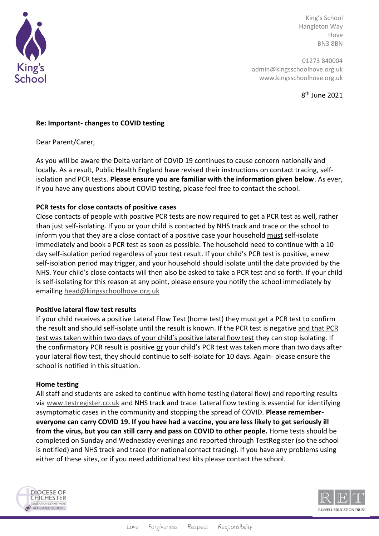

King's School Hangleton Way Hove BN3 8BN

01273 840004 admin@kingsschoolhove.org.uk www.kingsschoolhove.org.uk

8 th June 2021

## **Re: Important- changes to COVID testing**

Dear Parent/Carer,

As you will be aware the Delta variant of COVID 19 continues to cause concern nationally and locally. As a result, Public Health England have revised their instructions on contact tracing, selfisolation and PCR tests. **Please ensure you are familiar with the information given below**. As ever, if you have any questions about COVID testing, please feel free to contact the school.

# **PCR tests for close contacts of positive cases**

Close contacts of people with positive PCR tests are now required to get a PCR test as well, rather than just self-isolating. If you or your child is contacted by NHS track and trace or the school to inform you that they are a close contact of a positive case your household must self-isolate immediately and book a PCR test as soon as possible. The household need to continue with a 10 day self-isolation period regardless of your test result. If your child's PCR test is positive, a new self-isolation period may trigger, and your household should isolate until the date provided by the NHS. Your child's close contacts will then also be asked to take a PCR test and so forth. If your child is self-isolating for this reason at any point, please ensure you notify the school immediately by emailing [head@kingsschoolhove.org.uk](mailto:head@kingsschoolhove.org.uk)

## **Positive lateral flow test results**

If your child receives a positive Lateral Flow Test (home test) they must get a PCR test to confirm the result and should self-isolate until the result is known. If the PCR test is negative and that PCR test was taken within two days of your child's positive lateral flow test they can stop isolating. If the confirmatory PCR result is positive or your child's PCR test was taken more than two days after your lateral flow test, they should continue to self-isolate for 10 days. Again- please ensure the school is notified in this situation.

## **Home testing**

All staff and students are asked to continue with home testing (lateral flow) and reporting results via [www.testregister.co.uk](http://www.testregister.co.uk/) and NHS track and trace. Lateral flow testing is essential for identifying asymptomatic cases in the community and stopping the spread of COVID. **Please remembereveryone can carry COVID 19. If you have had a vaccine, you are less likely to get seriously ill from the virus, but you can still carry and pass on COVID to other people.** Home tests should be completed on Sunday and Wednesday evenings and reported through TestRegister (so the school is notified) and NHS track and trace (for national contact tracing). If you have any problems using either of these sites, or if you need additional test kits please contact the school.